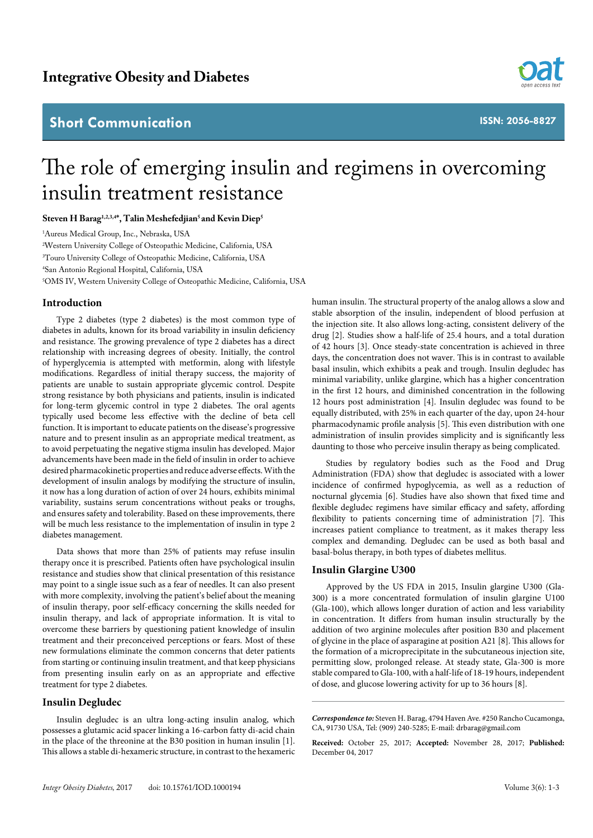# **Short Communication**



**ISSN: 2056-8827**

# The role of emerging insulin and regimens in overcoming insulin treatment resistance

Steven H Barag<sup>1,2,3,4\*</sup>, Talin Meshefedjian<sup>5</sup> and Kevin Diep<sup>5</sup>

1 Aureus Medical Group, Inc., Nebraska, USA

2 Western University College of Osteopathic Medicine, California, USA

3 Touro University College of Osteopathic Medicine, California, USA

4 San Antonio Regional Hospital, California, USA

5 OMS IV, Western University College of Osteopathic Medicine, California, USA

#### **Introduction**

Type 2 diabetes (type 2 diabetes) is the most common type of diabetes in adults, known for its broad variability in insulin deficiency and resistance. The growing prevalence of type 2 diabetes has a direct relationship with increasing degrees of obesity. Initially, the control of hyperglycemia is attempted with metformin, along with lifestyle modifications. Regardless of initial therapy success, the majority of patients are unable to sustain appropriate glycemic control. Despite strong resistance by both physicians and patients, insulin is indicated for long-term glycemic control in type 2 diabetes. The oral agents typically used become less effective with the decline of beta cell function. It is important to educate patients on the disease's progressive nature and to present insulin as an appropriate medical treatment, as to avoid perpetuating the negative stigma insulin has developed. Major advancements have been made in the field of insulin in order to achieve desired pharmacokinetic properties and reduce adverse effects. With the development of insulin analogs by modifying the structure of insulin, it now has a long duration of action of over 24 hours, exhibits minimal variability, sustains serum concentrations without peaks or troughs, and ensures safety and tolerability. Based on these improvements, there will be much less resistance to the implementation of insulin in type 2 diabetes management.

Data shows that more than 25% of patients may refuse insulin therapy once it is prescribed. Patients often have psychological insulin resistance and studies show that clinical presentation of this resistance may point to a single issue such as a fear of needles. It can also present with more complexity, involving the patient's belief about the meaning of insulin therapy, poor self-efficacy concerning the skills needed for insulin therapy, and lack of appropriate information. It is vital to overcome these barriers by questioning patient knowledge of insulin treatment and their preconceived perceptions or fears. Most of these new formulations eliminate the common concerns that deter patients from starting or continuing insulin treatment, and that keep physicians from presenting insulin early on as an appropriate and effective treatment for type 2 diabetes.

## **Insulin Degludec**

Insulin degludec is an ultra long-acting insulin analog, which possesses a glutamic acid spacer linking a 16-carbon fatty di-acid chain in the place of the threonine at the B30 position in human insulin [1]. This allows a stable di-hexameric structure, in contrast to the hexameric

human insulin. The structural property of the analog allows a slow and stable absorption of the insulin, independent of blood perfusion at the injection site. It also allows long-acting, consistent delivery of the drug [2]. Studies show a half-life of 25.4 hours, and a total duration of 42 hours [3]. Once steady-state concentration is achieved in three days, the concentration does not waver. This is in contrast to available basal insulin, which exhibits a peak and trough. Insulin degludec has minimal variability, unlike glargine, which has a higher concentration in the first 12 hours, and diminished concentration in the following 12 hours post administration [4]. Insulin degludec was found to be equally distributed, with 25% in each quarter of the day, upon 24-hour pharmacodynamic profile analysis [5]. This even distribution with one administration of insulin provides simplicity and is significantly less daunting to those who perceive insulin therapy as being complicated.

Studies by regulatory bodies such as the Food and Drug Administration (FDA) show that degludec is associated with a lower incidence of confirmed hypoglycemia, as well as a reduction of nocturnal glycemia [6]. Studies have also shown that fixed time and flexible degludec regimens have similar efficacy and safety, affording flexibility to patients concerning time of administration [7]. This increases patient compliance to treatment, as it makes therapy less complex and demanding. Degludec can be used as both basal and basal-bolus therapy, in both types of diabetes mellitus.

# **Insulin Glargine U300**

Approved by the US FDA in 2015, Insulin glargine U300 (Gla-300) is a more concentrated formulation of insulin glargine U100 (Gla-100), which allows longer duration of action and less variability in concentration. It differs from human insulin structurally by the addition of two arginine molecules after position B30 and placement of glycine in the place of asparagine at position A21 [8]. This allows for the formation of a microprecipitate in the subcutaneous injection site, permitting slow, prolonged release. At steady state, Gla-300 is more stable compared to Gla-100, with a half-life of 18-19 hours, independent of dose, and glucose lowering activity for up to 36 hours [8].

*Correspondence to:* Steven H. Barag, 4794 Haven Ave. #250 Rancho Cucamonga, CA, 91730 USA, Tel: (909) 240-5285; E-mail: drbarag@gmail.com

**Received:** October 25, 2017; **Accepted:** November 28, 2017; **Published:**  December 04, 2017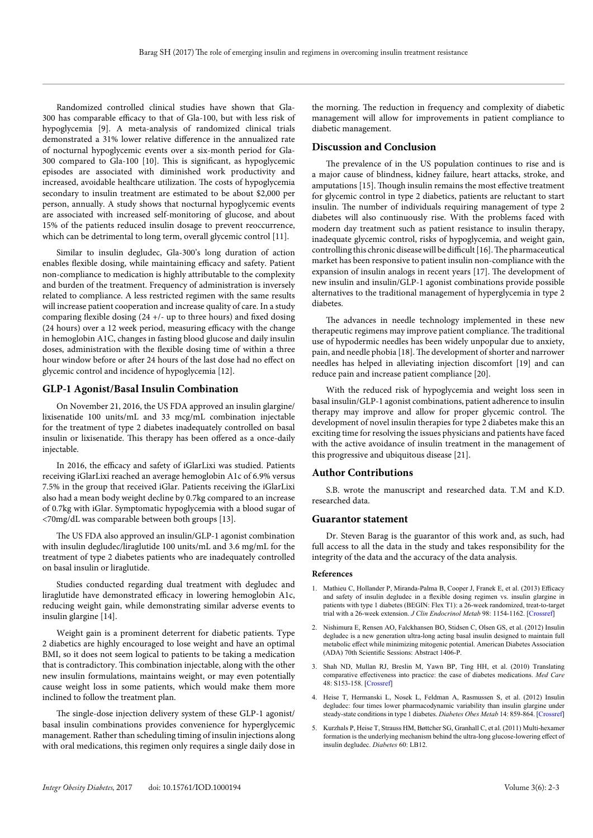Randomized controlled clinical studies have shown that Gla-300 has comparable efficacy to that of Gla-100, but with less risk of hypoglycemia [9]. A meta-analysis of randomized clinical trials demonstrated a 31% lower relative difference in the annualized rate of nocturnal hypoglycemic events over a six-month period for Gla-300 compared to Gla-100 [10]. This is significant, as hypoglycemic episodes are associated with diminished work productivity and increased, avoidable healthcare utilization. The costs of hypoglycemia secondary to insulin treatment are estimated to be about \$2,000 per person, annually. A study shows that nocturnal hypoglycemic events are associated with increased self-monitoring of glucose, and about 15% of the patients reduced insulin dosage to prevent reoccurrence, which can be detrimental to long term, overall glycemic control [11].

Similar to insulin degludec, Gla-300's long duration of action enables flexible dosing, while maintaining efficacy and safety. Patient non-compliance to medication is highly attributable to the complexity and burden of the treatment. Frequency of administration is inversely related to compliance. A less restricted regimen with the same results will increase patient cooperation and increase quality of care. In a study comparing flexible dosing  $(24 +/-$  up to three hours) and fixed dosing (24 hours) over a 12 week period, measuring efficacy with the change in hemoglobin A1C, changes in fasting blood glucose and daily insulin doses, administration with the flexible dosing time of within a three hour window before or after 24 hours of the last dose had no effect on glycemic control and incidence of hypoglycemia [12].

### **GLP-1 Agonist/Basal Insulin Combination**

On November 21, 2016, the US FDA approved an insulin glargine/ lixisenatide 100 units/mL and 33 mcg/mL combination injectable for the treatment of type 2 diabetes inadequately controlled on basal insulin or lixisenatide. This therapy has been offered as a once-daily injectable.

In 2016, the efficacy and safety of iGlarLixi was studied. Patients receiving iGlarLixi reached an average hemoglobin A1c of 6.9% versus 7.5% in the group that received iGlar. Patients receiving the iGlarLixi also had a mean body weight decline by 0.7kg compared to an increase of 0.7kg with iGlar. Symptomatic hypoglycemia with a blood sugar of <70mg/dL was comparable between both groups [13].

The US FDA also approved an insulin/GLP-1 agonist combination with insulin degludec/liraglutide 100 units/mL and 3.6 mg/mL for the treatment of type 2 diabetes patients who are inadequately controlled on basal insulin or liraglutide.

Studies conducted regarding dual treatment with degludec and liraglutide have demonstrated efficacy in lowering hemoglobin A1c, reducing weight gain, while demonstrating similar adverse events to insulin glargine [14].

Weight gain is a prominent deterrent for diabetic patients. Type 2 diabetics are highly encouraged to lose weight and have an optimal BMI, so it does not seem logical to patients to be taking a medication that is contradictory. This combination injectable, along with the other new insulin formulations, maintains weight, or may even potentially cause weight loss in some patients, which would make them more inclined to follow the treatment plan.

The single-dose injection delivery system of these GLP-1 agonist/ basal insulin combinations provides convenience for hyperglycemic management. Rather than scheduling timing of insulin injections along with oral medications, this regimen only requires a single daily dose in the morning. The reduction in frequency and complexity of diabetic management will allow for improvements in patient compliance to diabetic management.

#### **Discussion and Conclusion**

The prevalence of in the US population continues to rise and is a major cause of blindness, kidney failure, heart attacks, stroke, and amputations [15]. Though insulin remains the most effective treatment for glycemic control in type 2 diabetics, patients are reluctant to start insulin. The number of individuals requiring management of type 2 diabetes will also continuously rise. With the problems faced with modern day treatment such as patient resistance to insulin therapy, inadequate glycemic control, risks of hypoglycemia, and weight gain, controlling this chronic disease will be difficult [16]. The pharmaceutical market has been responsive to patient insulin non-compliance with the expansion of insulin analogs in recent years [17]. The development of new insulin and insulin/GLP-1 agonist combinations provide possible alternatives to the traditional management of hyperglycemia in type 2 diabetes.

The advances in needle technology implemented in these new therapeutic regimens may improve patient compliance. The traditional use of hypodermic needles has been widely unpopular due to anxiety, pain, and needle phobia [18]. The development of shorter and narrower needles has helped in alleviating injection discomfort [19] and can reduce pain and increase patient compliance [20].

With the reduced risk of hypoglycemia and weight loss seen in basal insulin/GLP-1 agonist combinations, patient adherence to insulin therapy may improve and allow for proper glycemic control. The development of novel insulin therapies for type 2 diabetes make this an exciting time for resolving the issues physicians and patients have faced with the active avoidance of insulin treatment in the management of this progressive and ubiquitous disease [21].

#### **Author Contributions**

S.B. wrote the manuscript and researched data. T.M and K.D. researched data.

#### **Guarantor statement**

Dr. Steven Barag is the guarantor of this work and, as such, had full access to all the data in the study and takes responsibility for the integrity of the data and the accuracy of the data analysis.

#### **References**

- 1. Mathieu C, Hollander P, Miranda-Palma B, Cooper J, Franek E, et al. (2013) Efficacy and safety of insulin degludec in a flexible dosing regimen vs. insulin glargine in patients with type 1 diabetes (BEGIN: Flex T1): a 26-week randomized, treat-to-target trial with a 26-week extension. *J Clin Endocrinol Metab* 98: 1154-1162. [[Crossref\]](https://www.ncbi.nlm.nih.gov/pubmed/23393185)
- 2. Nishimura E, Rensen AO, Falckhansen BO, Stidsen C, Olsen GS, et al. (2012) Insulin degludec is a new generation ultra-long acting basal insulin designed to maintain full metabolic effect while minimizing mitogenic potential. American Diabetes Association (ADA) 70th Scientific Sessions: Abstract 1406-P.
- 3. Shah ND, Mullan RJ, Breslin M, Yawn BP, Ting HH, et al. (2010) Translating comparative effectiveness into practice: the case of diabetes medications. *Med Care*  48: S153-158. [[Crossref\]](http://www.ncbi.nlm.nih.gov/pubmed/20473211)
- 4. Heise T, Hermanski L, Nosek L, Feldman A, Rasmussen S, et al. (2012) Insulin degludec: four times lower pharmacodynamic variability than insulin glargine under steady-state conditions in type 1 diabetes. *Diabetes Obes Metab* 14: 859-864. [[Crossref\]](https://www.ncbi.nlm.nih.gov/pubmed/22594461)
- 5. Kurzhals P, Heise T, Strauss HM, Bøttcher SG, Granhall C, et al. (2011) Multi-hexamer formation is the underlying mechanism behind the ultra-long glucose-lowering effect of insulin degludec. *Diabetes* 60: LB12.